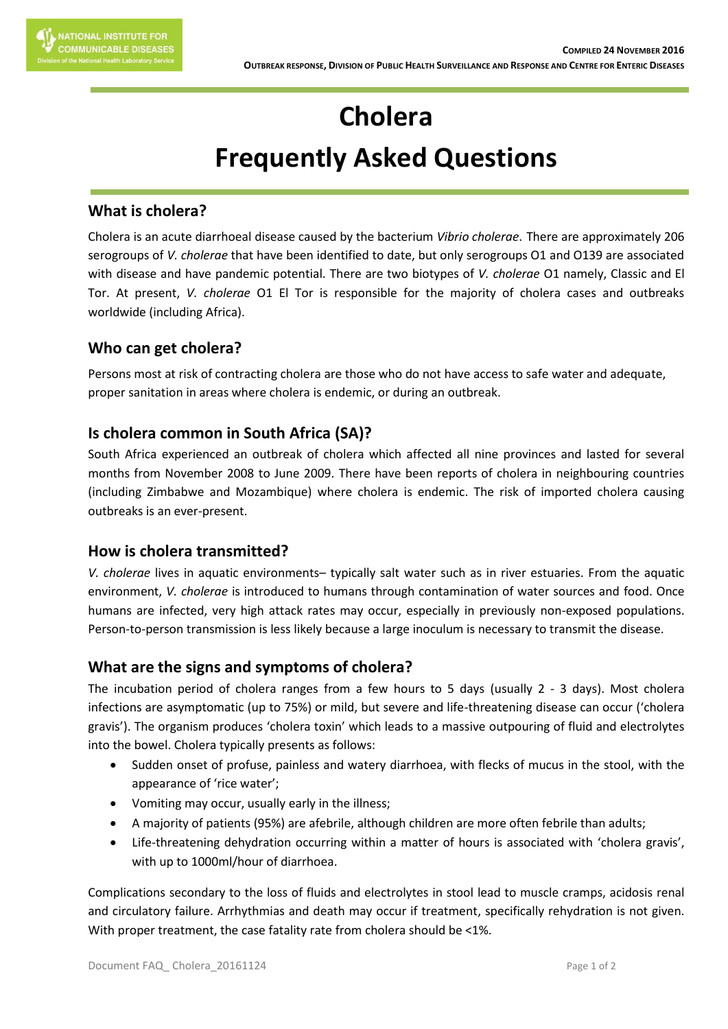# **Cholera Frequently Asked Questions**

## **What is cholera?**

Cholera is an acute diarrhoeal disease caused by the bacterium *Vibrio cholerae*. There are approximately 206 serogroups of *V. cholerae* that have been identified to date, but only serogroups O1 and O139 are associated with disease and have pandemic potential. There are two biotypes of *V. cholerae* O1 namely, Classic and El Tor. At present, *V. cholerae* O1 El Tor is responsible for the majority of cholera cases and outbreaks worldwide (including Africa).

# **Who can get cholera?**

Persons most at risk of contracting cholera are those who do not have access to safe water and adequate, proper sanitation in areas where cholera is endemic, or during an outbreak.

## **Is cholera common in South Africa (SA)?**

South Africa experienced an outbreak of cholera which affected all nine provinces and lasted for several months from November 2008 to June 2009. There have been reports of cholera in neighbouring countries (including Zimbabwe and Mozambique) where cholera is endemic. The risk of imported cholera causing outbreaks is an ever-present.

## **How is cholera transmitted?**

*V. cholerae* lives in aquatic environments– typically salt water such as in river estuaries. From the aquatic environment, *V. cholerae* is introduced to humans through contamination of water sources and food. Once humans are infected, very high attack rates may occur, especially in previously non-exposed populations. Person-to-person transmission is less likely because a large inoculum is necessary to transmit the disease.

## **What are the signs and symptoms of cholera?**

The incubation period of cholera ranges from a few hours to 5 days (usually 2 - 3 days). Most cholera infections are asymptomatic (up to 75%) or mild, but severe and life-threatening disease can occur ('cholera gravis'). The organism produces 'cholera toxin' which leads to a massive outpouring of fluid and electrolytes into the bowel. Cholera typically presents as follows:

- Sudden onset of profuse, painless and watery diarrhoea, with flecks of mucus in the stool, with the appearance of 'rice water';
- Vomiting may occur, usually early in the illness;
- A majority of patients (95%) are afebrile, although children are more often febrile than adults;
- Life-threatening dehydration occurring within a matter of hours is associated with 'cholera gravis', with up to 1000ml/hour of diarrhoea.

Complications secondary to the loss of fluids and electrolytes in stool lead to muscle cramps, acidosis renal and circulatory failure. Arrhythmias and death may occur if treatment, specifically rehydration is not given. With proper treatment, the case fatality rate from cholera should be <1%.